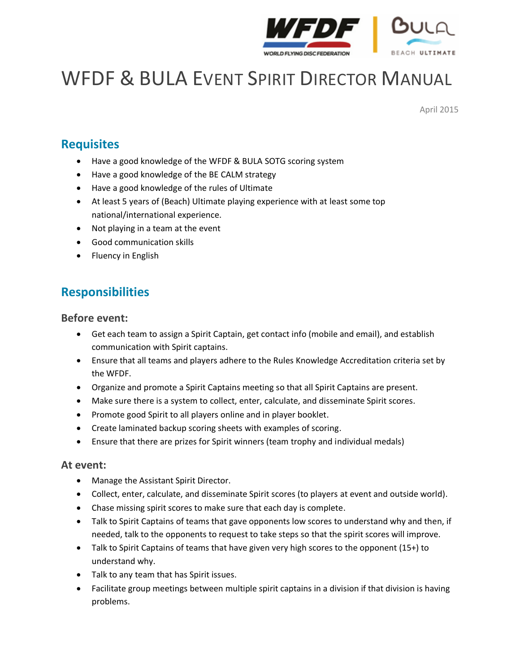

# WFDF & BULA EVENT SPIRIT DIRECTOR MANUAL

April 2015

# **Requisites**

- Have a good knowledge of the WFDF & BULA SOTG scoring system
- Have a good knowledge of the BE CALM strategy
- Have a good knowledge of the rules of Ultimate
- At least 5 years of (Beach) Ultimate playing experience with at least some top national/international experience.
- Not playing in a team at the event
- Good communication skills
- Fluency in English

# **Responsibilities**

#### **Before event:**

- Get each team to assign a Spirit Captain, get contact info (mobile and email), and establish communication with Spirit captains.
- Ensure that all teams and players adhere to the Rules Knowledge Accreditation criteria set by the WFDF.
- Organize and promote a Spirit Captains meeting so that all Spirit Captains are present.
- Make sure there is a system to collect, enter, calculate, and disseminate Spirit scores.
- Promote good Spirit to all players online and in player booklet.
- Create laminated backup scoring sheets with examples of scoring.
- Ensure that there are prizes for Spirit winners (team trophy and individual medals)

#### **At event:**

- Manage the Assistant Spirit Director.
- Collect, enter, calculate, and disseminate Spirit scores (to players at event and outside world).
- Chase missing spirit scores to make sure that each day is complete.
- Talk to Spirit Captains of teams that gave opponents low scores to understand why and then, if needed, talk to the opponents to request to take steps so that the spirit scores will improve.
- Talk to Spirit Captains of teams that have given very high scores to the opponent (15+) to understand why.
- Talk to any team that has Spirit issues.
- Facilitate group meetings between multiple spirit captains in a division if that division is having problems.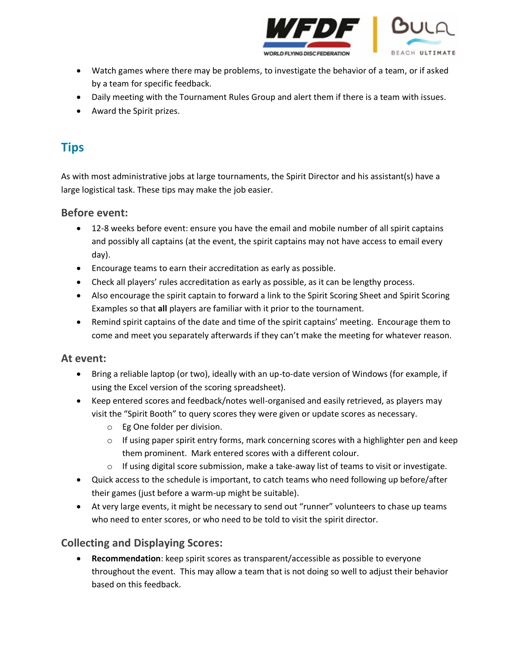

- Watch games where there may be problems, to investigate the behavior of a team, or if asked by a team for specific feedback.
- Daily meeting with the Tournament Rules Group and alert them if there is a team with issues.
- Award the Spirit prizes.

# **Tips**

As with most administrative jobs at large tournaments, the Spirit Director and his assistant(s) have a large logistical task. These tips may make the job easier.

## **Before event:**

- 12-8 weeks before event: ensure you have the email and mobile number of all spirit captains and possibly all captains (at the event, the spirit captains may not have access to email every day).
- Encourage teams to earn their accreditation as early as possible.
- Check all players' rules accreditation as early as possible, as it can be lengthy process.
- Also encourage the spirit captain to forward a link to the Spirit Scoring Sheet and Spirit Scoring Examples so that **all** players are familiar with it prior to the tournament.
- Remind spirit captains of the date and time of the spirit captains' meeting. Encourage them to come and meet you separately afterwards if they can't make the meeting for whatever reason.

## **At event:**

- Bring a reliable laptop (or two), ideally with an up-to-date version of Windows (for example, if using the Excel version of the scoring spreadsheet).
- Keep entered scores and feedback/notes well-organised and easily retrieved, as players may visit the "Spirit Booth" to query scores they were given or update scores as necessary.
	- o Eg One folder per division.
	- $\circ$  If using paper spirit entry forms, mark concerning scores with a highlighter pen and keep them prominent. Mark entered scores with a different colour.
	- o If using digital score submission, make a take-away list of teams to visit or investigate.
- Quick access to the schedule is important, to catch teams who need following up before/after their games (just before a warm-up might be suitable).
- At very large events, it might be necessary to send out "runner" volunteers to chase up teams who need to enter scores, or who need to be told to visit the spirit director.

## **Collecting and Displaying Scores:**

 **Recommendation**: keep spirit scores as transparent/accessible as possible to everyone throughout the event. This may allow a team that is not doing so well to adjust their behavior based on this feedback.